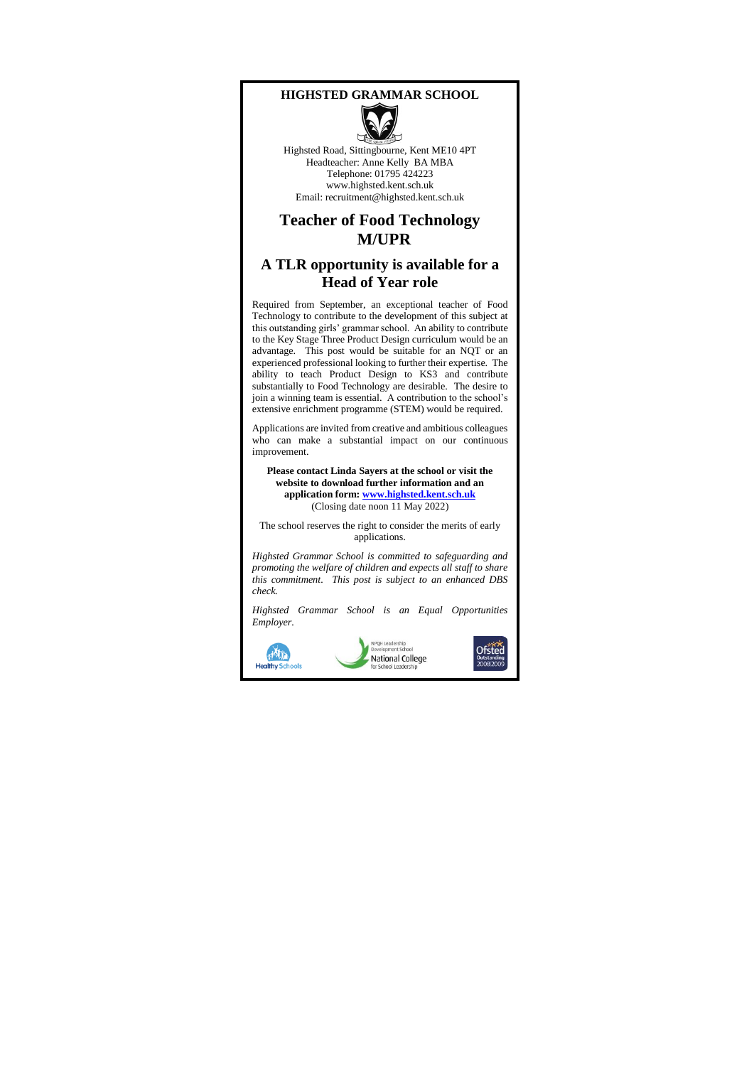#### **HIGHSTED GRAMMAR SCHOOL**



Highsted Road, Sittingbourne, Kent ME10 4PT Headteacher: Anne Kelly BA MBA Telephone: 01795 424223 www.highsted.kent.sch.uk Email: recruitment@highsted.kent.sch.uk

### **Teacher of Food Technology M/UPR**

### **A TLR opportunity is available for a Head of Year role**

Required from September, an exceptional teacher of Food Technology to contribute to the development of this subject at this outstanding girls' grammar school. An ability to contribute to the Key Stage Three Product Design curriculum would be an advantage. This post would be suitable for an NQT or an experienced professional looking to further their expertise. The ability to teach Product Design to KS3 and contribute substantially to Food Technology are desirable. The desire to join a winning team is essential. A contribution to the school's extensive enrichment programme (STEM) would be required.

Applications are invited from creative and ambitious colleagues who can make a substantial impact on our continuous improvement.

**Please contact Linda Sayers at the school or visit the website to download further information and an application form[: www.highsted.kent.sch.uk](http://www.highsted.kent.sch.uk/)** (Closing date noon 11 May 2022)

The school reserves the right to consider the merits of early applications.

*Highsted Grammar School is committed to safeguarding and promoting the welfare of children and expects all staff to share this commitment. This post is subject to an enhanced DBS check.*

*Highsted Grammar School is an Equal Opportunities Employer.*



**NPQH Leadership<br>Develooment School** National College

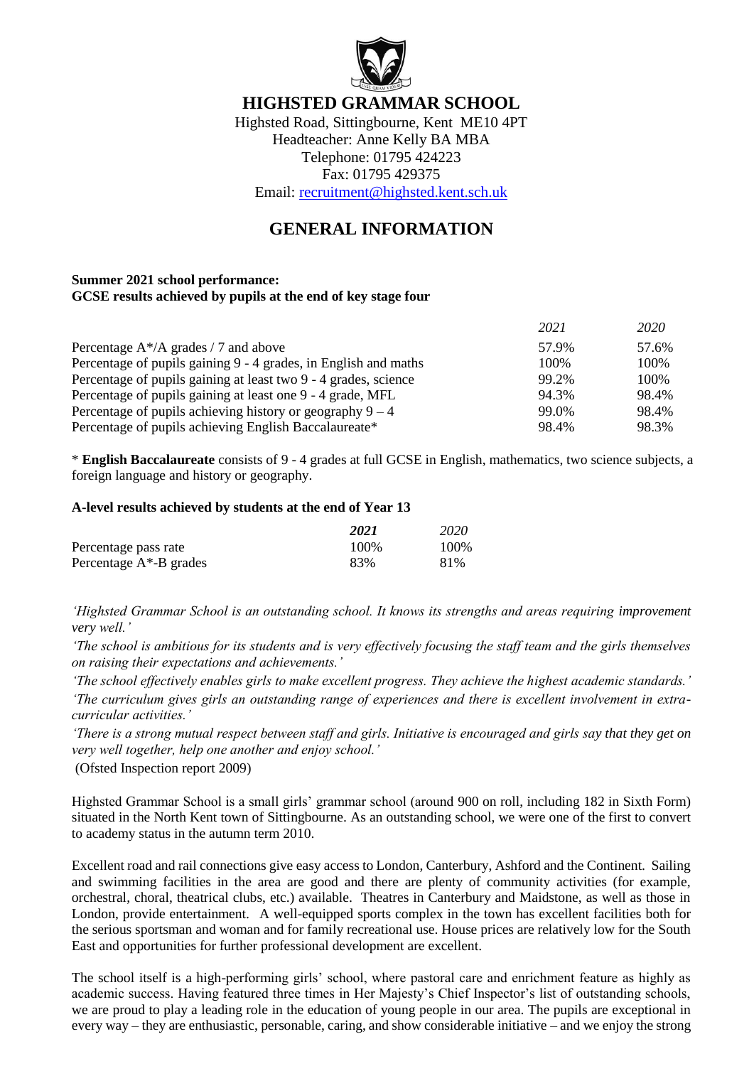

# **HIGHSTED GRAMMAR SCHOOL**

Highsted Road, Sittingbourne, Kent ME10 4PT Headteacher: Anne Kelly BA MBA Telephone: 01795 424223 Fax: 01795 429375

Email: [recruitment@highsted.kent.sch.uk](mailto:recruitment@highsted.kent.sch.uk)

# **GENERAL INFORMATION**

### **Summer 2021 school performance: GCSE results achieved by pupils at the end of key stage four**

|                                                                 | 2021  | 2020  |
|-----------------------------------------------------------------|-------|-------|
| Percentage $A^*/A$ grades / 7 and above                         | 57.9% | 57.6% |
| Percentage of pupils gaining 9 - 4 grades, in English and maths | 100\% | 100%  |
| Percentage of pupils gaining at least two 9 - 4 grades, science | 99.2% | 100\% |
| Percentage of pupils gaining at least one 9 - 4 grade, MFL      | 94.3% | 98.4% |
| Percentage of pupils achieving history or geography $9 - 4$     | 99.0% | 98.4% |
| Percentage of pupils achieving English Baccalaureate*           | 98.4% | 98.3% |

\* **English Baccalaureate** consists of 9 - 4 grades at full GCSE in English, mathematics, two science subjects, a foreign language and history or geography.

### **A-level results achieved by students at the end of Year 13**

|                            | 2021 | 2020  |
|----------------------------|------|-------|
| Percentage pass rate       | 100% | 100\% |
| Percentage $A^*$ -B grades | 83%  | 81%   |

*'Highsted Grammar School is an outstanding school. It knows its strengths and areas requiring improvement very well.'*

*'The school is ambitious for its students and is very effectively focusing the staff team and the girls themselves on raising their expectations and achievements.'*

*'The school effectively enables girls to make excellent progress. They achieve the highest academic standards.'*

*'The curriculum gives girls an outstanding range of experiences and there is excellent involvement in extracurricular activities.'*

*'There is a strong mutual respect between staff and girls. Initiative is encouraged and girls say that they get on very well together, help one another and enjoy school.'*

(Ofsted Inspection report 2009)

Highsted Grammar School is a small girls' grammar school (around 900 on roll, including 182 in Sixth Form) situated in the North Kent town of Sittingbourne. As an outstanding school, we were one of the first to convert to academy status in the autumn term 2010.

Excellent road and rail connections give easy access to London, Canterbury, Ashford and the Continent. Sailing and swimming facilities in the area are good and there are plenty of community activities (for example, orchestral, choral, theatrical clubs, etc.) available. Theatres in Canterbury and Maidstone, as well as those in London, provide entertainment. A well-equipped sports complex in the town has excellent facilities both for the serious sportsman and woman and for family recreational use. House prices are relatively low for the South East and opportunities for further professional development are excellent.

The school itself is a high-performing girls' school, where pastoral care and enrichment feature as highly as academic success. Having featured three times in Her Majesty's Chief Inspector's list of outstanding schools, we are proud to play a leading role in the education of young people in our area. The pupils are exceptional in every way – they are enthusiastic, personable, caring, and show considerable initiative – and we enjoy the strong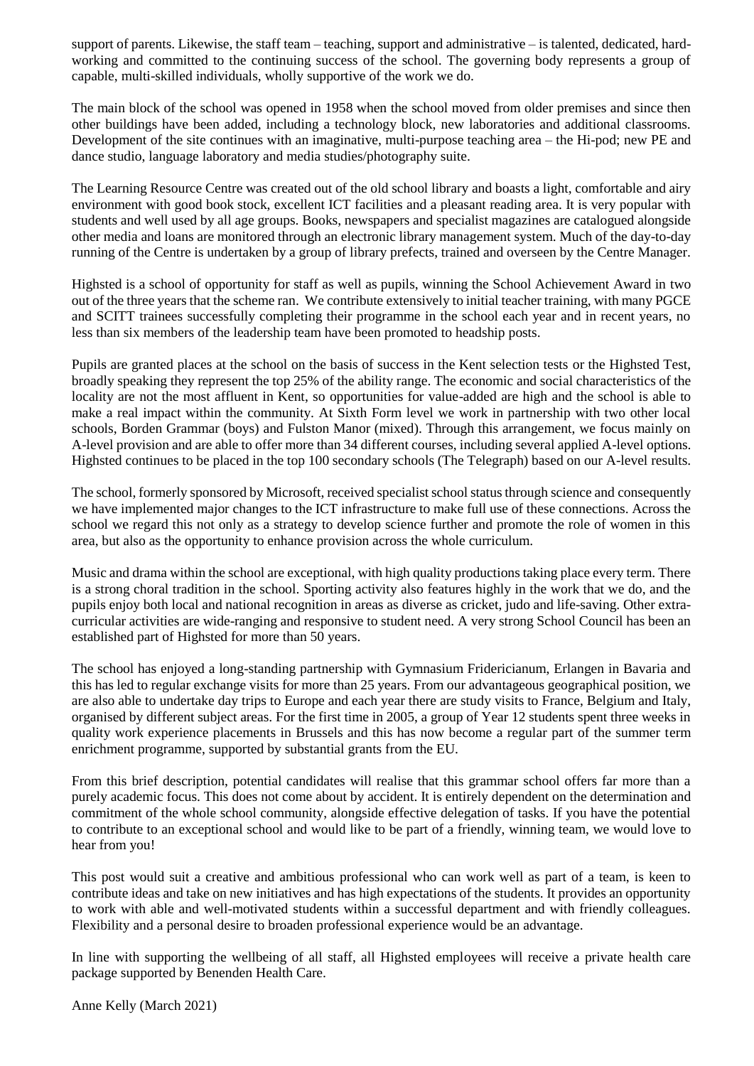support of parents. Likewise, the staff team – teaching, support and administrative – is talented, dedicated, hardworking and committed to the continuing success of the school. The governing body represents a group of capable, multi-skilled individuals, wholly supportive of the work we do.

The main block of the school was opened in 1958 when the school moved from older premises and since then other buildings have been added, including a technology block, new laboratories and additional classrooms. Development of the site continues with an imaginative, multi-purpose teaching area – the Hi-pod; new PE and dance studio, language laboratory and media studies/photography suite.

The Learning Resource Centre was created out of the old school library and boasts a light, comfortable and airy environment with good book stock, excellent ICT facilities and a pleasant reading area. It is very popular with students and well used by all age groups. Books, newspapers and specialist magazines are catalogued alongside other media and loans are monitored through an electronic library management system. Much of the day-to-day running of the Centre is undertaken by a group of library prefects, trained and overseen by the Centre Manager.

Highsted is a school of opportunity for staff as well as pupils, winning the School Achievement Award in two out of the three years that the scheme ran. We contribute extensively to initial teacher training, with many PGCE and SCITT trainees successfully completing their programme in the school each year and in recent years, no less than six members of the leadership team have been promoted to headship posts.

Pupils are granted places at the school on the basis of success in the Kent selection tests or the Highsted Test, broadly speaking they represent the top 25% of the ability range. The economic and social characteristics of the locality are not the most affluent in Kent, so opportunities for value-added are high and the school is able to make a real impact within the community. At Sixth Form level we work in partnership with two other local schools, Borden Grammar (boys) and Fulston Manor (mixed). Through this arrangement, we focus mainly on A-level provision and are able to offer more than 34 different courses, including several applied A-level options. Highsted continues to be placed in the top 100 secondary schools (The Telegraph) based on our A-level results.

The school, formerly sponsored by Microsoft, received specialist school status through science and consequently we have implemented major changes to the ICT infrastructure to make full use of these connections. Across the school we regard this not only as a strategy to develop science further and promote the role of women in this area, but also as the opportunity to enhance provision across the whole curriculum.

Music and drama within the school are exceptional, with high quality productions taking place every term. There is a strong choral tradition in the school. Sporting activity also features highly in the work that we do, and the pupils enjoy both local and national recognition in areas as diverse as cricket, judo and life-saving. Other extracurricular activities are wide-ranging and responsive to student need. A very strong School Council has been an established part of Highsted for more than 50 years.

The school has enjoyed a long-standing partnership with Gymnasium Fridericianum, Erlangen in Bavaria and this has led to regular exchange visits for more than 25 years. From our advantageous geographical position, we are also able to undertake day trips to Europe and each year there are study visits to France, Belgium and Italy, organised by different subject areas. For the first time in 2005, a group of Year 12 students spent three weeks in quality work experience placements in Brussels and this has now become a regular part of the summer term enrichment programme, supported by substantial grants from the EU.

From this brief description, potential candidates will realise that this grammar school offers far more than a purely academic focus. This does not come about by accident. It is entirely dependent on the determination and commitment of the whole school community, alongside effective delegation of tasks. If you have the potential to contribute to an exceptional school and would like to be part of a friendly, winning team, we would love to hear from you!

This post would suit a creative and ambitious professional who can work well as part of a team, is keen to contribute ideas and take on new initiatives and has high expectations of the students. It provides an opportunity to work with able and well-motivated students within a successful department and with friendly colleagues. Flexibility and a personal desire to broaden professional experience would be an advantage.

In line with supporting the wellbeing of all staff, all Highsted employees will receive a private health care package supported by Benenden Health Care.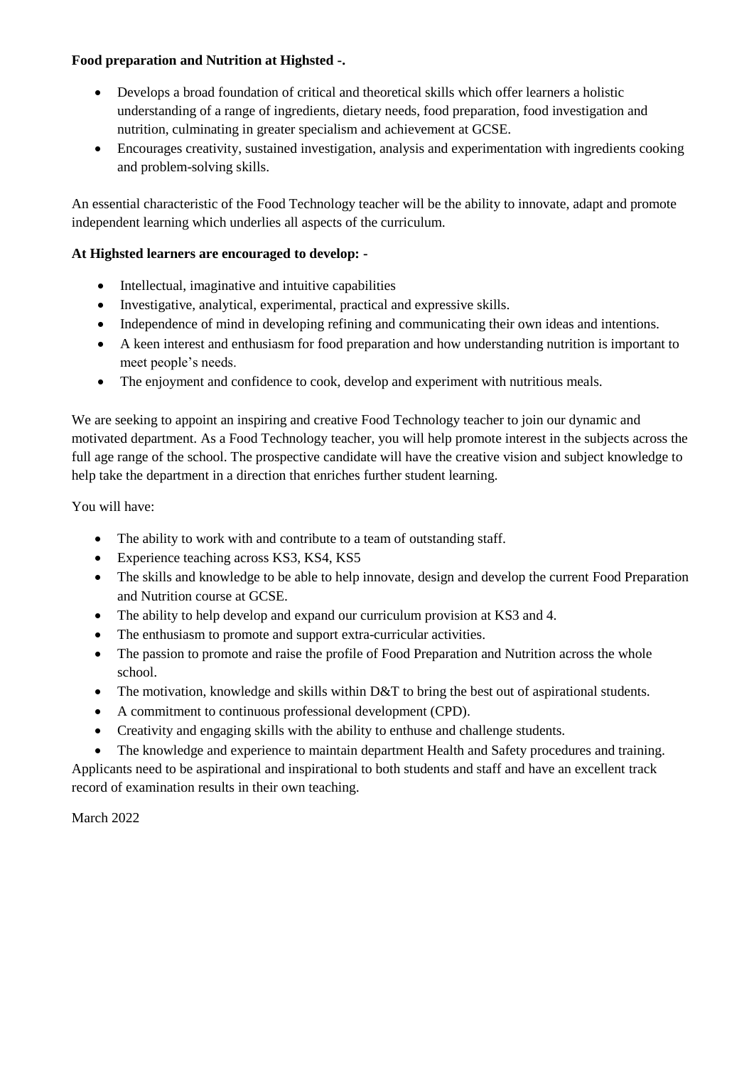## **Food preparation and Nutrition at Highsted -.**

- Develops a broad foundation of critical and theoretical skills which offer learners a holistic understanding of a range of ingredients, dietary needs, food preparation, food investigation and nutrition, culminating in greater specialism and achievement at GCSE.
- Encourages creativity, sustained investigation, analysis and experimentation with ingredients cooking and problem-solving skills.

An essential characteristic of the Food Technology teacher will be the ability to innovate, adapt and promote independent learning which underlies all aspects of the curriculum.

## **At Highsted learners are encouraged to develop: -**

- Intellectual, imaginative and intuitive capabilities
- Investigative, analytical, experimental, practical and expressive skills.
- Independence of mind in developing refining and communicating their own ideas and intentions.
- A keen interest and enthusiasm for food preparation and how understanding nutrition is important to meet people's needs.
- The enjoyment and confidence to cook, develop and experiment with nutritious meals.

We are seeking to appoint an inspiring and creative Food Technology teacher to join our dynamic and motivated department. As a Food Technology teacher, you will help promote interest in the subjects across the full age range of the school. The prospective candidate will have the creative vision and subject knowledge to help take the department in a direction that enriches further student learning.

You will have:

- The ability to work with and contribute to a team of outstanding staff.
- Experience teaching across KS3, KS4, KS5
- The skills and knowledge to be able to help innovate, design and develop the current Food Preparation and Nutrition course at GCSE.
- The ability to help develop and expand our curriculum provision at KS3 and 4.
- The enthusiasm to promote and support extra-curricular activities.
- The passion to promote and raise the profile of Food Preparation and Nutrition across the whole school.
- The motivation, knowledge and skills within D&T to bring the best out of aspirational students.
- A commitment to continuous professional development (CPD).
- Creativity and engaging skills with the ability to enthuse and challenge students.
- The knowledge and experience to maintain department Health and Safety procedures and training.

Applicants need to be aspirational and inspirational to both students and staff and have an excellent track record of examination results in their own teaching.

March 2022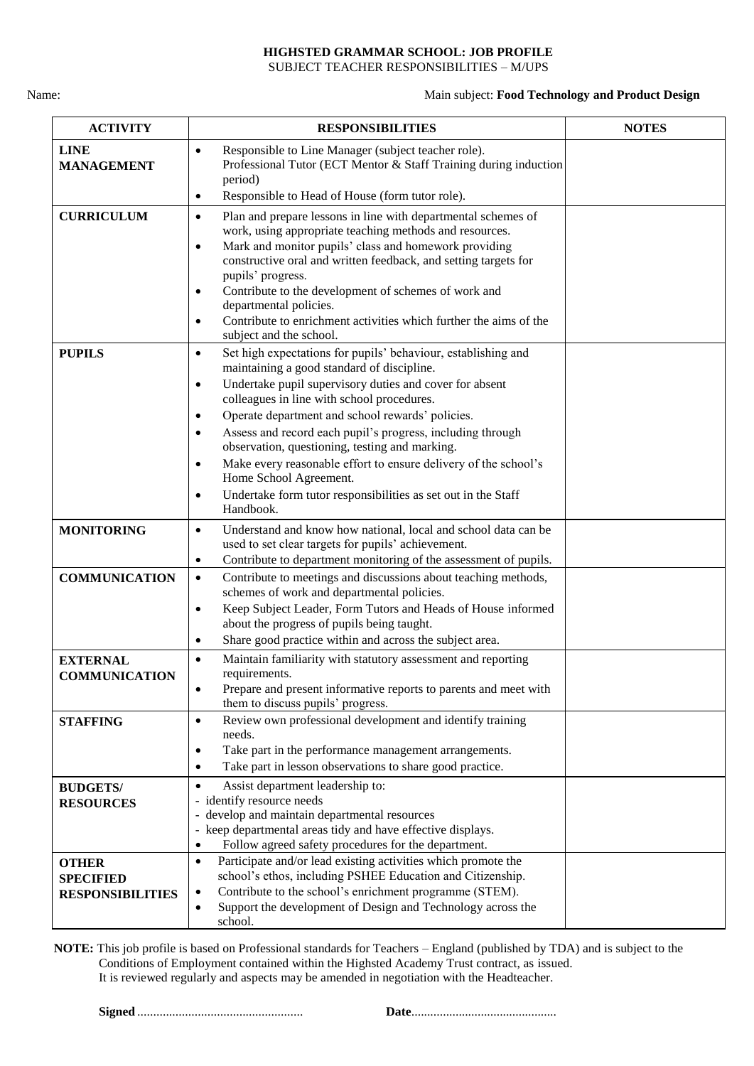#### **HIGHSTED GRAMMAR SCHOOL: JOB PROFILE** SUBJECT TEACHER RESPONSIBILITIES – M/UPS

#### Name: Main subject: **Food Technology and Product Design**

| <b>ACTIVITY</b>                                             | <b>RESPONSIBILITIES</b>                                                                                                                                                                                                                                                                                                                                                                                                                                                                                         | <b>NOTES</b> |
|-------------------------------------------------------------|-----------------------------------------------------------------------------------------------------------------------------------------------------------------------------------------------------------------------------------------------------------------------------------------------------------------------------------------------------------------------------------------------------------------------------------------------------------------------------------------------------------------|--------------|
| <b>LINE</b><br><b>MANAGEMENT</b>                            | Responsible to Line Manager (subject teacher role).<br>$\bullet$<br>Professional Tutor (ECT Mentor & Staff Training during induction<br>period)                                                                                                                                                                                                                                                                                                                                                                 |              |
|                                                             | Responsible to Head of House (form tutor role).<br>$\bullet$                                                                                                                                                                                                                                                                                                                                                                                                                                                    |              |
| <b>CURRICULUM</b>                                           | Plan and prepare lessons in line with departmental schemes of<br>$\bullet$<br>work, using appropriate teaching methods and resources.<br>Mark and monitor pupils' class and homework providing<br>$\bullet$<br>constructive oral and written feedback, and setting targets for<br>pupils' progress.<br>Contribute to the development of schemes of work and<br>$\bullet$<br>departmental policies.<br>Contribute to enrichment activities which further the aims of the<br>$\bullet$<br>subject and the school. |              |
| <b>PUPILS</b>                                               | Set high expectations for pupils' behaviour, establishing and<br>$\bullet$<br>maintaining a good standard of discipline.<br>Undertake pupil supervisory duties and cover for absent<br>$\bullet$<br>colleagues in line with school procedures.                                                                                                                                                                                                                                                                  |              |
|                                                             | Operate department and school rewards' policies.<br>$\bullet$<br>Assess and record each pupil's progress, including through<br>$\bullet$<br>observation, questioning, testing and marking.<br>Make every reasonable effort to ensure delivery of the school's<br>$\bullet$<br>Home School Agreement.<br>Undertake form tutor responsibilities as set out in the Staff<br>$\bullet$<br>Handbook.                                                                                                                 |              |
| <b>MONITORING</b>                                           | Understand and know how national, local and school data can be<br>$\bullet$<br>used to set clear targets for pupils' achievement.<br>Contribute to department monitoring of the assessment of pupils.<br>$\bullet$                                                                                                                                                                                                                                                                                              |              |
| <b>COMMUNICATION</b>                                        | Contribute to meetings and discussions about teaching methods,<br>$\bullet$<br>schemes of work and departmental policies.<br>Keep Subject Leader, Form Tutors and Heads of House informed<br>$\bullet$<br>about the progress of pupils being taught.<br>Share good practice within and across the subject area.<br>$\bullet$                                                                                                                                                                                    |              |
| <b>EXTERNAL</b><br><b>COMMUNICATION</b>                     | Maintain familiarity with statutory assessment and reporting<br>$\bullet$<br>requirements.<br>Prepare and present informative reports to parents and meet with<br>$\bullet$<br>them to discuss pupils' progress.                                                                                                                                                                                                                                                                                                |              |
| <b>STAFFING</b>                                             | Review own professional development and identify training<br>$\bullet$<br>needs.<br>Take part in the performance management arrangements.<br>$\bullet$<br>Take part in lesson observations to share good practice.<br>$\bullet$                                                                                                                                                                                                                                                                                 |              |
| <b>BUDGETS/</b><br><b>RESOURCES</b>                         | Assist department leadership to:<br>$\bullet$<br>identify resource needs<br>develop and maintain departmental resources<br>keep departmental areas tidy and have effective displays.<br>$\qquad \qquad \blacksquare$<br>Follow agreed safety procedures for the department.<br>$\bullet$                                                                                                                                                                                                                        |              |
| <b>OTHER</b><br><b>SPECIFIED</b><br><b>RESPONSIBILITIES</b> | Participate and/or lead existing activities which promote the<br>$\bullet$<br>school's ethos, including PSHEE Education and Citizenship.<br>Contribute to the school's enrichment programme (STEM).<br>$\bullet$<br>Support the development of Design and Technology across the<br>$\bullet$<br>school.                                                                                                                                                                                                         |              |

**NOTE:** This job profile is based on Professional standards for Teachers – England (published by TDA) and is subject to the Conditions of Employment contained within the Highsted Academy Trust contract, as issued. It is reviewed regularly and aspects may be amended in negotiation with the Headteacher.

**Signed** .................................................... **Date**..............................................